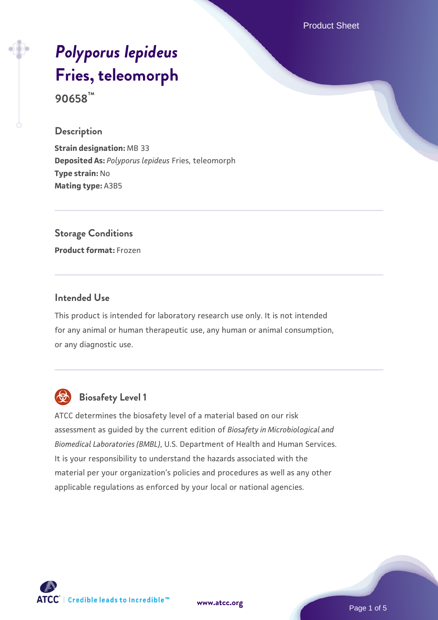Product Sheet

# *[Polyporus lepideus](https://www.atcc.org/products/90658)* **[Fries, teleomorph](https://www.atcc.org/products/90658)**

**90658™**

#### **Description**

**Strain designation:** MB 33 **Deposited As:** *Polyporus lepideus* Fries, teleomorph **Type strain:** No **Mating type:** A3B5

# **Storage Conditions**

**Product format:** Frozen

#### **Intended Use**

This product is intended for laboratory research use only. It is not intended for any animal or human therapeutic use, any human or animal consumption, or any diagnostic use.



# **Biosafety Level 1**

ATCC determines the biosafety level of a material based on our risk assessment as guided by the current edition of *Biosafety in Microbiological and Biomedical Laboratories (BMBL)*, U.S. Department of Health and Human Services. It is your responsibility to understand the hazards associated with the material per your organization's policies and procedures as well as any other applicable regulations as enforced by your local or national agencies.

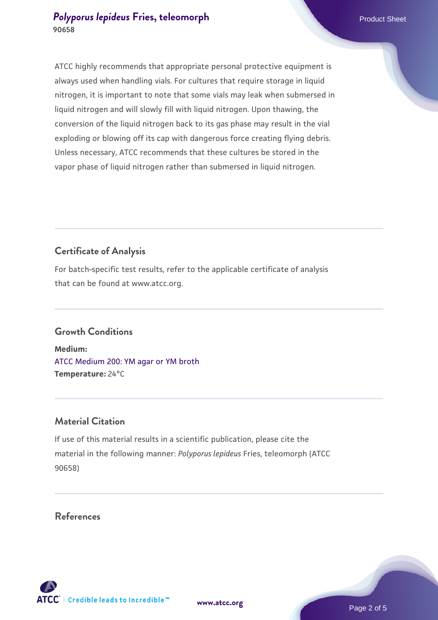#### **[Polyporus lepideus](https://www.atcc.org/products/90658) [Fries, teleomorph](https://www.atcc.org/products/90658)** Product Sheet **90658**

ATCC highly recommends that appropriate personal protective equipment is always used when handling vials. For cultures that require storage in liquid nitrogen, it is important to note that some vials may leak when submersed in liquid nitrogen and will slowly fill with liquid nitrogen. Upon thawing, the conversion of the liquid nitrogen back to its gas phase may result in the vial exploding or blowing off its cap with dangerous force creating flying debris. Unless necessary, ATCC recommends that these cultures be stored in the vapor phase of liquid nitrogen rather than submersed in liquid nitrogen.

## **Certificate of Analysis**

For batch-specific test results, refer to the applicable certificate of analysis that can be found at www.atcc.org.

### **Growth Conditions**

**Medium:**  [ATCC Medium 200: YM agar or YM broth](https://www.atcc.org/-/media/product-assets/documents/microbial-media-formulations/2/0/0/atcc-medium-200.pdf?rev=ac40fd74dc13433a809367b0b9da30fc) **Temperature:** 24°C

#### **Material Citation**

If use of this material results in a scientific publication, please cite the material in the following manner: *Polyporus lepideus* Fries, teleomorph (ATCC 90658)

#### **References**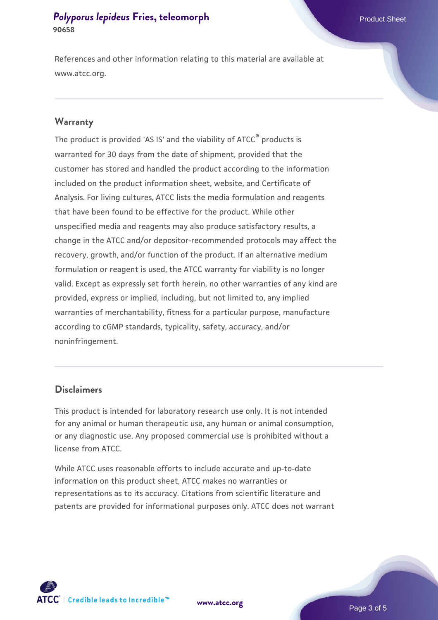#### **[Polyporus lepideus](https://www.atcc.org/products/90658) [Fries, teleomorph](https://www.atcc.org/products/90658)** Product Sheet **90658**

References and other information relating to this material are available at www.atcc.org.

#### **Warranty**

The product is provided 'AS IS' and the viability of ATCC® products is warranted for 30 days from the date of shipment, provided that the customer has stored and handled the product according to the information included on the product information sheet, website, and Certificate of Analysis. For living cultures, ATCC lists the media formulation and reagents that have been found to be effective for the product. While other unspecified media and reagents may also produce satisfactory results, a change in the ATCC and/or depositor-recommended protocols may affect the recovery, growth, and/or function of the product. If an alternative medium formulation or reagent is used, the ATCC warranty for viability is no longer valid. Except as expressly set forth herein, no other warranties of any kind are provided, express or implied, including, but not limited to, any implied warranties of merchantability, fitness for a particular purpose, manufacture according to cGMP standards, typicality, safety, accuracy, and/or noninfringement.

#### **Disclaimers**

This product is intended for laboratory research use only. It is not intended for any animal or human therapeutic use, any human or animal consumption, or any diagnostic use. Any proposed commercial use is prohibited without a license from ATCC.

While ATCC uses reasonable efforts to include accurate and up-to-date information on this product sheet, ATCC makes no warranties or representations as to its accuracy. Citations from scientific literature and patents are provided for informational purposes only. ATCC does not warrant



**[www.atcc.org](http://www.atcc.org)**

Page 3 of 5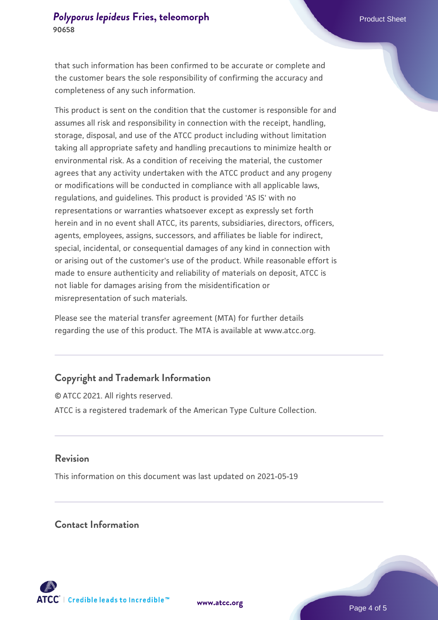that such information has been confirmed to be accurate or complete and the customer bears the sole responsibility of confirming the accuracy and completeness of any such information.

This product is sent on the condition that the customer is responsible for and assumes all risk and responsibility in connection with the receipt, handling, storage, disposal, and use of the ATCC product including without limitation taking all appropriate safety and handling precautions to minimize health or environmental risk. As a condition of receiving the material, the customer agrees that any activity undertaken with the ATCC product and any progeny or modifications will be conducted in compliance with all applicable laws, regulations, and guidelines. This product is provided 'AS IS' with no representations or warranties whatsoever except as expressly set forth herein and in no event shall ATCC, its parents, subsidiaries, directors, officers, agents, employees, assigns, successors, and affiliates be liable for indirect, special, incidental, or consequential damages of any kind in connection with or arising out of the customer's use of the product. While reasonable effort is made to ensure authenticity and reliability of materials on deposit, ATCC is not liable for damages arising from the misidentification or misrepresentation of such materials.

Please see the material transfer agreement (MTA) for further details regarding the use of this product. The MTA is available at www.atcc.org.

#### **Copyright and Trademark Information**

© ATCC 2021. All rights reserved. ATCC is a registered trademark of the American Type Culture Collection.

#### **Revision**

This information on this document was last updated on 2021-05-19

#### **Contact Information**